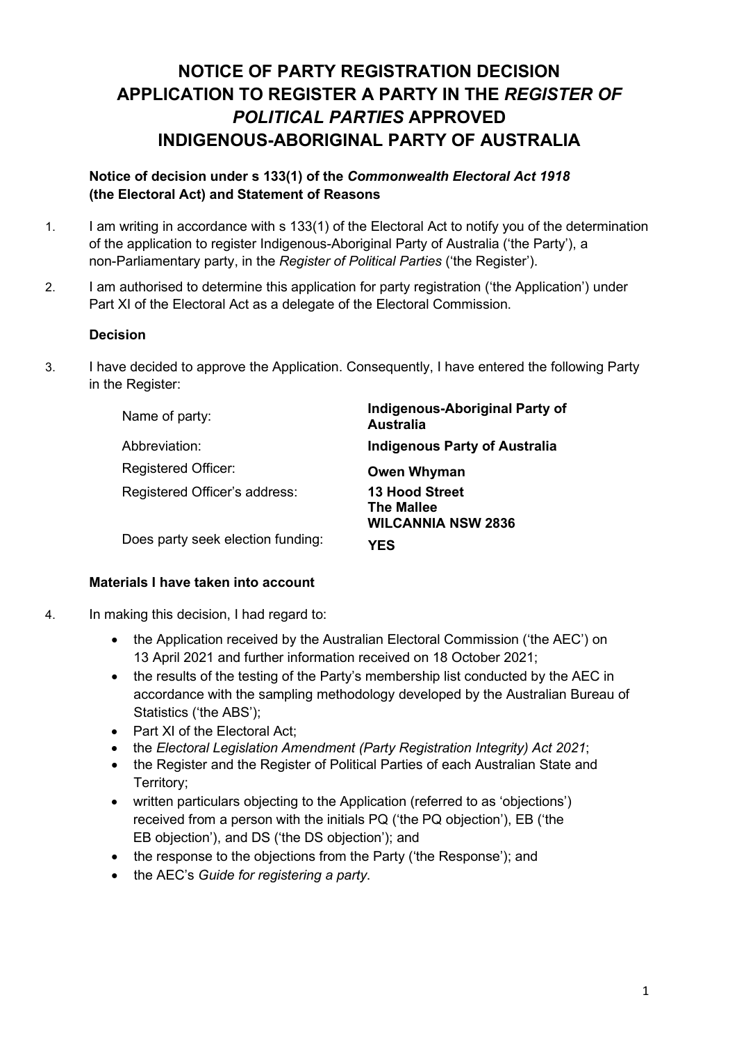# **NOTICE OF PARTY REGISTRATION DECISION APPLICATION TO REGISTER A PARTY IN THE** *REGISTER OF POLITICAL PARTIES* **APPROVED INDIGENOUS-ABORIGINAL PARTY OF AUSTRALIA**

# **Notice of decision under s 133(1) of the** *Commonwealth Electoral Act 1918* **(the Electoral Act) and Statement of Reasons**

- 1. I am writing in accordance with s 133(1) of the Electoral Act to notify you of the determination of the application to register Indigenous-Aboriginal Party of Australia ('the Party'), a non-Parliamentary party, in the *Register of Political Parties* ('the Register').
- 2. I am authorised to determine this application for party registration ('the Application') under Part XI of the Electoral Act as a delegate of the Electoral Commission.

## **Decision**

3. I have decided to approve the Application. Consequently, I have entered the following Party in the Register:

| Name of party:                    | Indigenous-Aboriginal Party of<br><b>Australia</b>                      |  |
|-----------------------------------|-------------------------------------------------------------------------|--|
| Abbreviation:                     | <b>Indigenous Party of Australia</b>                                    |  |
| <b>Registered Officer:</b>        | <b>Owen Whyman</b>                                                      |  |
| Registered Officer's address:     | <b>13 Hood Street</b><br><b>The Mallee</b><br><b>WILCANNIA NSW 2836</b> |  |
| Does party seek election funding: | YES                                                                     |  |

## **Materials I have taken into account**

- 4. In making this decision, I had regard to:
	- the Application received by the Australian Electoral Commission ('the AEC') on 13 April 2021 and further information received on 18 October 2021;
	- the results of the testing of the Party's membership list conducted by the AEC in accordance with the sampling methodology developed by the Australian Bureau of Statistics ('the ABS');
	- Part XI of the Electoral Act:
	- the *Electoral Legislation Amendment (Party Registration Integrity) Act 2021*;
	- the Register and the Register of Political Parties of each Australian State and Territory;
	- written particulars objecting to the Application (referred to as 'objections') received from a person with the initials PQ ('the PQ objection'), EB ('the EB objection'), and DS ('the DS objection'); and
	- the response to the objections from the Party ('the Response'); and
	- the AEC's *Guide for registering a party*.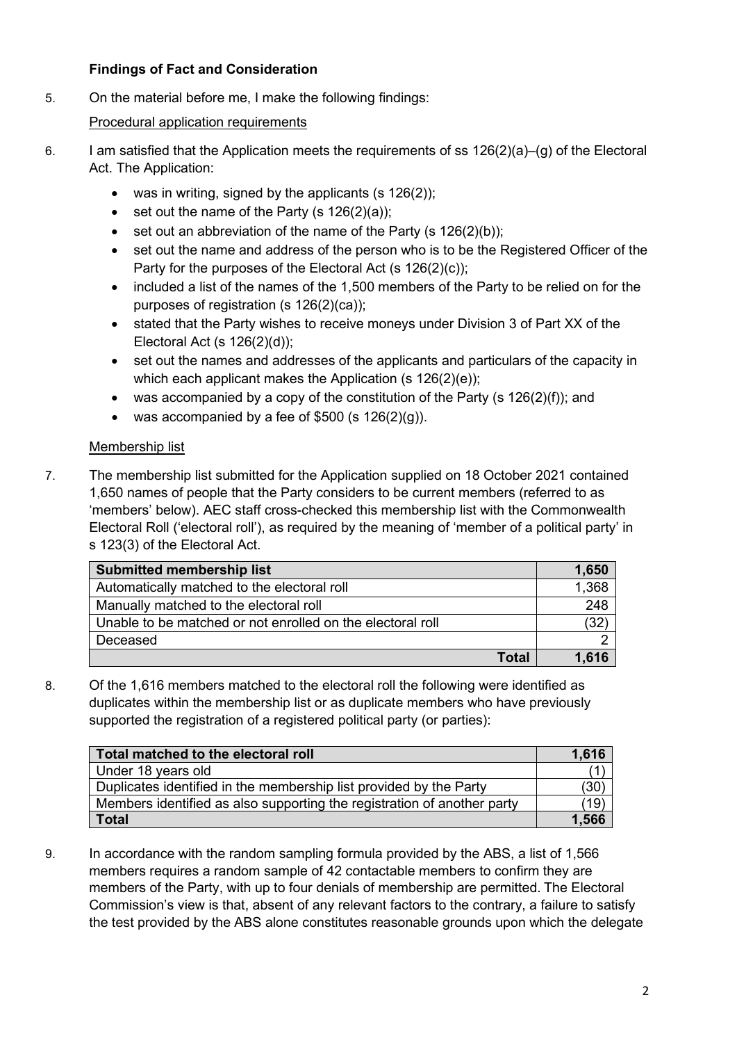# **Findings of Fact and Consideration**

5. On the material before me, I make the following findings:

# Procedural application requirements

- 6. I am satisfied that the Application meets the requirements of ss  $126(2)(a)$ –(g) of the Electoral Act. The Application:
	- was in writing, signed by the applicants (s  $126(2)$ );
	- set out the name of the Party  $(s 126(2)(a))$ ;
	- set out an abbreviation of the name of the Party (s  $126(2)(b)$ );
	- set out the name and address of the person who is to be the Registered Officer of the Party for the purposes of the Electoral Act (s 126(2)(c));
	- included a list of the names of the 1,500 members of the Party to be relied on for the purposes of registration (s 126(2)(ca));
	- stated that the Party wishes to receive moneys under Division 3 of Part XX of the Electoral Act (s 126(2)(d));
	- set out the names and addresses of the applicants and particulars of the capacity in which each applicant makes the Application (s 126(2)(e));
	- was accompanied by a copy of the constitution of the Party (s  $126(2)(f)$ ); and
	- was accompanied by a fee of  $$500$  (s  $126(2)(q)$ ).

## Membership list

7. The membership list submitted for the Application supplied on 18 October 2021 contained 1,650 names of people that the Party considers to be current members (referred to as 'members' below). AEC staff cross-checked this membership list with the Commonwealth Electoral Roll ('electoral roll'), as required by the meaning of 'member of a political party' in s 123(3) of the Electoral Act.

| <b>Submitted membership list</b>                           | 1,650            |
|------------------------------------------------------------|------------------|
| Automatically matched to the electoral roll                | 1,368            |
| Manually matched to the electoral roll                     | $\overline{248}$ |
| Unable to be matched or not enrolled on the electoral roll | (32)             |
| Deceased                                                   |                  |
| <b>Total</b>                                               | 1.616            |

8. Of the 1,616 members matched to the electoral roll the following were identified as duplicates within the membership list or as duplicate members who have previously supported the registration of a registered political party (or parties):

| Total matched to the electoral roll                                     | 1,616 |
|-------------------------------------------------------------------------|-------|
| Under 18 years old                                                      |       |
| Duplicates identified in the membership list provided by the Party      | 30    |
| Members identified as also supporting the registration of another party | 19    |
| <b>Total</b>                                                            | 1.566 |

9. In accordance with the random sampling formula provided by the ABS, a list of 1,566 members requires a random sample of 42 contactable members to confirm they are members of the Party, with up to four denials of membership are permitted. The Electoral Commission's view is that, absent of any relevant factors to the contrary, a failure to satisfy the test provided by the ABS alone constitutes reasonable grounds upon which the delegate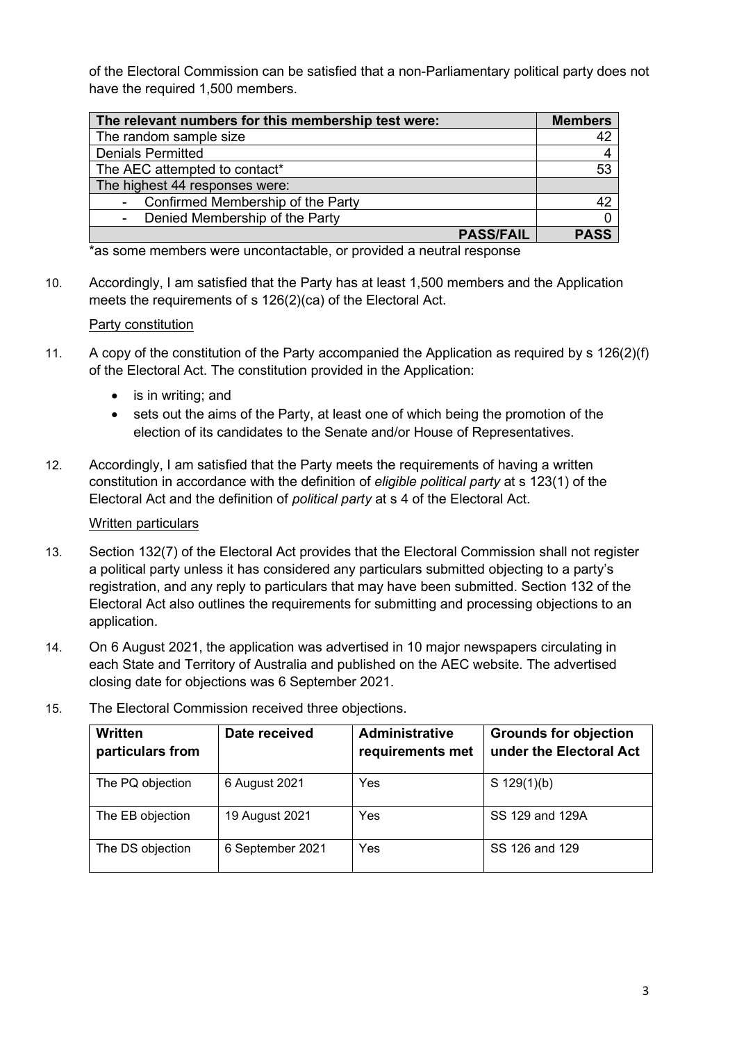of the Electoral Commission can be satisfied that a non-Parliamentary political party does not have the required 1,500 members.

| The relevant numbers for this membership test were: | <b>Members</b> |
|-----------------------------------------------------|----------------|
| The random sample size                              | 42             |
| <b>Denials Permitted</b>                            |                |
| The AEC attempted to contact*                       | 53             |
| The highest 44 responses were:                      |                |
| Confirmed Membership of the Party                   | 42             |
| Denied Membership of the Party                      |                |
| <b>PASS/FAIL</b>                                    | <b>PASS</b>    |

\*as some members were uncontactable, or provided a neutral response

10. Accordingly, I am satisfied that the Party has at least 1,500 members and the Application meets the requirements of s 126(2)(ca) of the Electoral Act.

#### Party constitution

- 11. A copy of the constitution of the Party accompanied the Application as required by s 126(2)(f) of the Electoral Act. The constitution provided in the Application:
	- is in writing; and
	- sets out the aims of the Party, at least one of which being the promotion of the election of its candidates to the Senate and/or House of Representatives.
- 12. Accordingly, I am satisfied that the Party meets the requirements of having a written constitution in accordance with the definition of *eligible political party* at s 123(1) of the Electoral Act and the definition of *political party* at s 4 of the Electoral Act.

#### Written particulars

- 13. Section 132(7) of the Electoral Act provides that the Electoral Commission shall not register a political party unless it has considered any particulars submitted objecting to a party's registration, and any reply to particulars that may have been submitted. Section 132 of the Electoral Act also outlines the requirements for submitting and processing objections to an application.
- 14. On 6 August 2021, the application was advertised in 10 major newspapers circulating in each State and Territory of Australia and published on the AEC website. The advertised closing date for objections was 6 September 2021.

| <b>Written</b><br>particulars from | Date received    | <b>Administrative</b><br>requirements met | <b>Grounds for objection</b><br>under the Electoral Act |
|------------------------------------|------------------|-------------------------------------------|---------------------------------------------------------|
| The PQ objection                   | 6 August 2021    | Yes                                       | S $129(1)(b)$                                           |
| The EB objection                   | 19 August 2021   | Yes                                       | SS 129 and 129A                                         |
| The DS objection                   | 6 September 2021 | Yes                                       | SS 126 and 129                                          |

15. The Electoral Commission received three objections.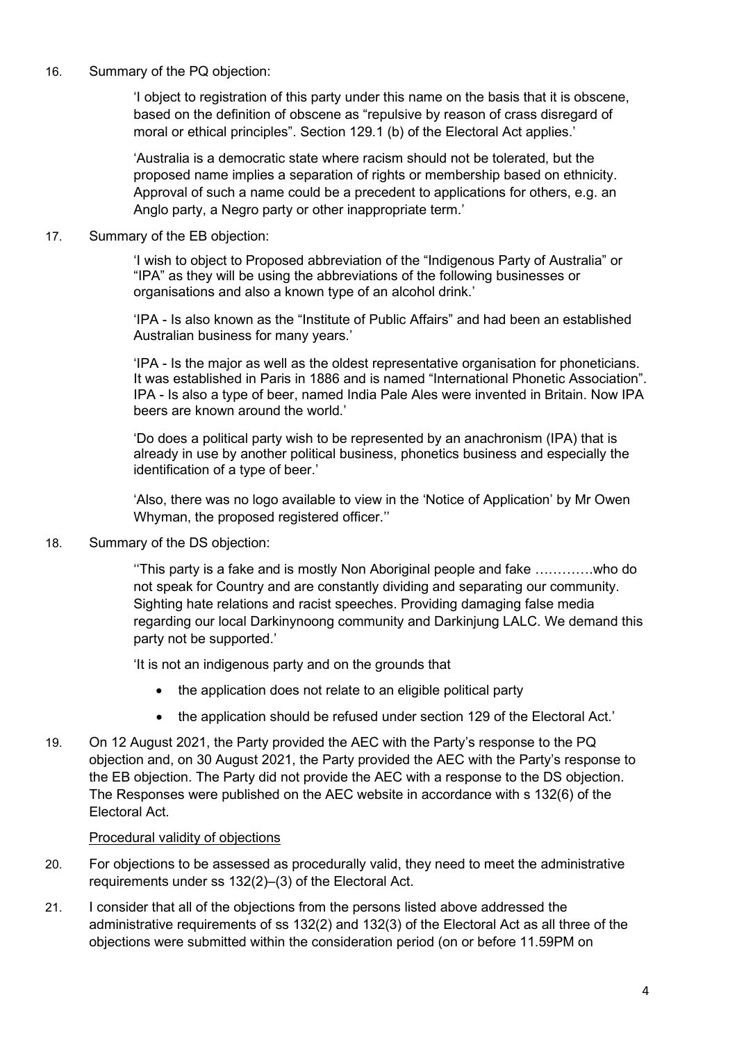16. Summary of the PQ objection:

'I object to registration of this party under this name on the basis that it is obscene, based on the definition of obscene as "repulsive by reason of crass disregard of moral or ethical principles". Section 129.1 (b) of the Electoral Act applies.'

'Australia is a democratic state where racism should not be tolerated, but the proposed name implies a separation of rights or membership based on ethnicity. Approval of such a name could be a precedent to applications for others, e.g. an Anglo party, a Negro party or other inappropriate term.'

17. Summary of the EB objection:

'I wish to object to Proposed abbreviation of the "Indigenous Party of Australia" or "IPA" as they will be using the abbreviations of the following businesses or organisations and also a known type of an alcohol drink.'

'IPA - Is also known as the "Institute of Public Affairs" and had been an established Australian business for many years.'

'IPA - Is the major as well as the oldest representative organisation for phoneticians. It was established in Paris in 1886 and is named "International Phonetic Association". IPA - Is also a type of beer, named India Pale Ales were invented in Britain. Now IPA beers are known around the world.'

'Do does a political party wish to be represented by an anachronism (IPA) that is already in use by another political business, phonetics business and especially the identification of a type of beer.'

'Also, there was no logo available to view in the 'Notice of Application' by Mr Owen Whyman, the proposed registered officer.''

18. Summary of the DS objection:

''This party is a fake and is mostly Non Aboriginal people and fake ………….who do not speak for Country and are constantly dividing and separating our community. Sighting hate relations and racist speeches. Providing damaging false media regarding our local Darkinynoong community and Darkinjung LALC. We demand this party not be supported.'

'It is not an indigenous party and on the grounds that

- the application does not relate to an eligible political party
- the application should be refused under section 129 of the Electoral Act.'
- 19. On 12 August 2021, the Party provided the AEC with the Party's response to the PQ objection and, on 30 August 2021, the Party provided the AEC with the Party's response to the EB objection. The Party did not provide the AEC with a response to the DS objection. The Responses were published on the AEC website in accordance with s 132(6) of the Electoral Act.

#### Procedural validity of objections

- 20. For objections to be assessed as procedurally valid, they need to meet the administrative requirements under ss 132(2)–(3) of the Electoral Act.
- 21. I consider that all of the objections from the persons listed above addressed the administrative requirements of ss 132(2) and 132(3) of the Electoral Act as all three of the objections were submitted within the consideration period (on or before 11.59PM on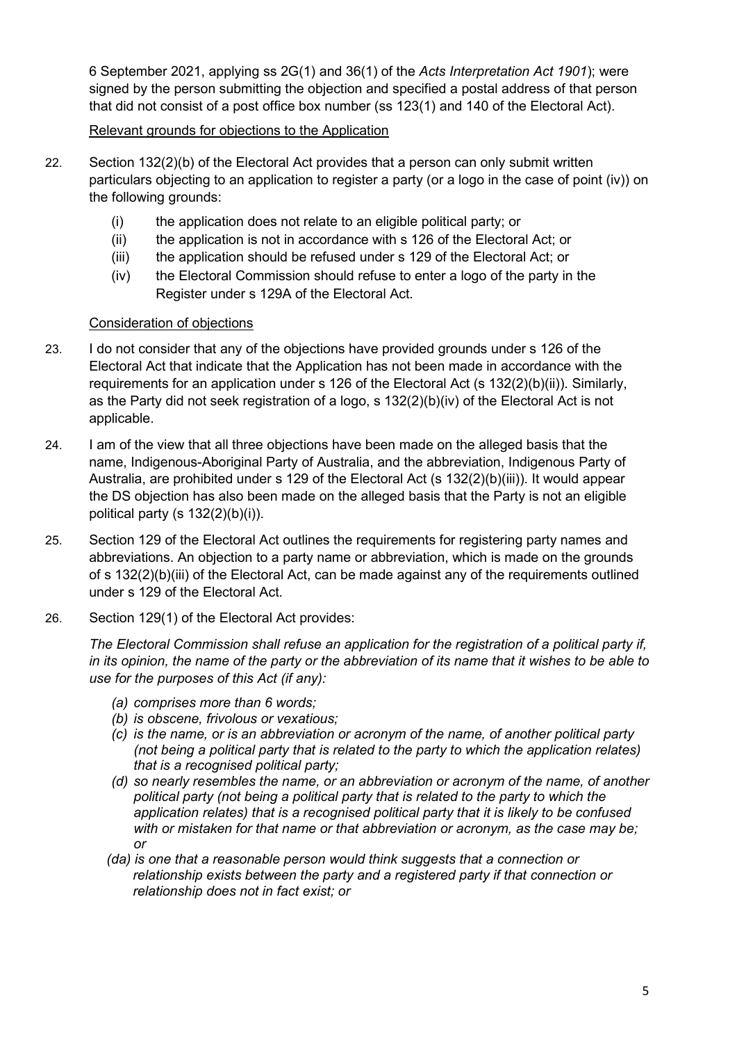6 September 2021, applying ss 2G(1) and 36(1) of the *Acts Interpretation Act 1901*); were signed by the person submitting the objection and specified a postal address of that person that did not consist of a post office box number (ss 123(1) and 140 of the Electoral Act).

### Relevant grounds for objections to the Application

- 22. Section 132(2)(b) of the Electoral Act provides that a person can only submit written particulars objecting to an application to register a party (or a logo in the case of point (iv)) on the following grounds:
	- (i) the application does not relate to an eligible political party; or
	- (ii) the application is not in accordance with s 126 of the Electoral Act; or
	- (iii) the application should be refused under s 129 of the Electoral Act; or
	- (iv) the Electoral Commission should refuse to enter a logo of the party in the Register under s 129A of the Electoral Act.

#### Consideration of objections

- 23. I do not consider that any of the objections have provided grounds under s 126 of the Electoral Act that indicate that the Application has not been made in accordance with the requirements for an application under s 126 of the Electoral Act (s 132(2)(b)(ii)). Similarly, as the Party did not seek registration of a logo, s 132(2)(b)(iv) of the Electoral Act is not applicable.
- 24. I am of the view that all three objections have been made on the alleged basis that the name, Indigenous-Aboriginal Party of Australia, and the abbreviation, Indigenous Party of Australia, are prohibited under s 129 of the Electoral Act (s 132(2)(b)(iii)). It would appear the DS objection has also been made on the alleged basis that the Party is not an eligible political party (s 132(2)(b)(i)).
- 25. Section 129 of the Electoral Act outlines the requirements for registering party names and abbreviations. An objection to a party name or abbreviation, which is made on the grounds of s 132(2)(b)(iii) of the Electoral Act, can be made against any of the requirements outlined under s 129 of the Electoral Act.
- 26. Section 129(1) of the Electoral Act provides:

*The Electoral Commission shall refuse an application for the registration of a political party if, in its opinion, the name of the party or the abbreviation of its name that it wishes to be able to use for the purposes of this Act (if any):*

- *(a) comprises more than 6 words;*
- *(b) is obscene, frivolous or vexatious;*
- *(c) is the name, or is an abbreviation or acronym of the name, of another political party (not being a political party that is related to the party to which the application relates) that is a recognised political party;*
- *(d) so nearly resembles the name, or an abbreviation or acronym of the name, of another political party (not being a political party that is related to the party to which the application relates) that is a recognised political party that it is likely to be confused with or mistaken for that name or that abbreviation or acronym, as the case may be; or*
- *(da) is one that a reasonable person would think suggests that a connection or relationship exists between the party and a registered party if that connection or relationship does not in fact exist; or*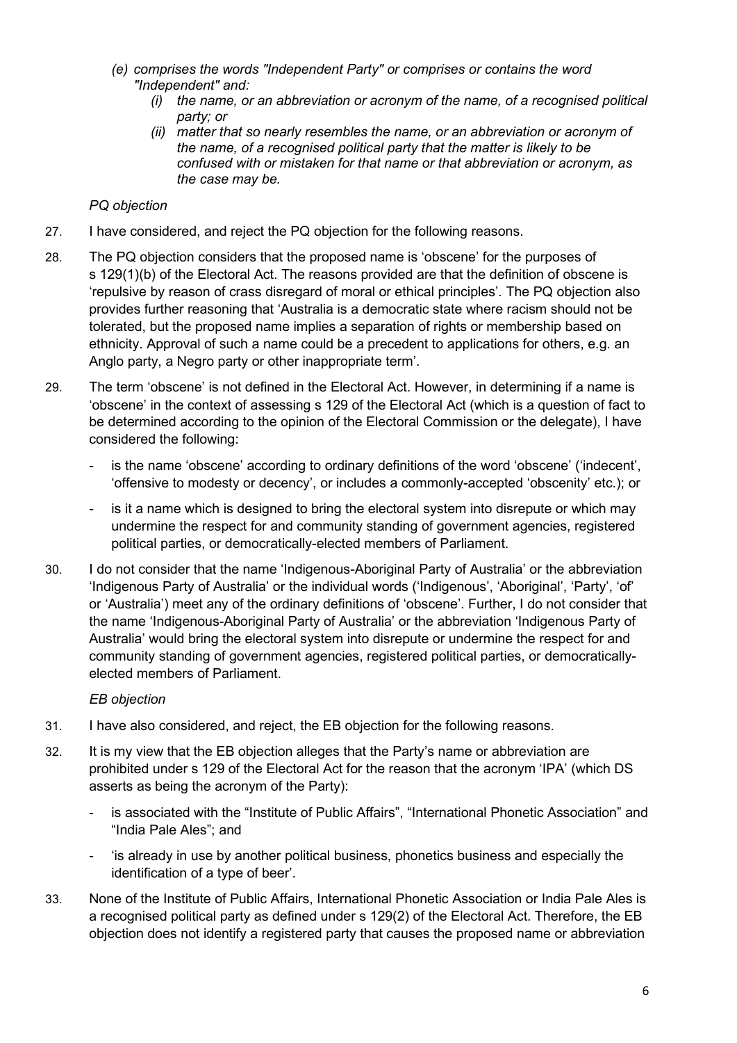- *(e) comprises the words "Independent Party" or comprises or contains the word "Independent" and:*
	- *(i) the name, or an abbreviation or acronym of the name, of a recognised political party; or*
	- *(ii) matter that so nearly resembles the name, or an abbreviation or acronym of the name, of a recognised political party that the matter is likely to be confused with or mistaken for that name or that abbreviation or acronym, as the case may be.*

## *PQ objection*

- 27. I have considered, and reject the PQ objection for the following reasons.
- 28. The PQ objection considers that the proposed name is 'obscene' for the purposes of s 129(1)(b) of the Electoral Act. The reasons provided are that the definition of obscene is 'repulsive by reason of crass disregard of moral or ethical principles'. The PQ objection also provides further reasoning that 'Australia is a democratic state where racism should not be tolerated, but the proposed name implies a separation of rights or membership based on ethnicity. Approval of such a name could be a precedent to applications for others, e.g. an Anglo party, a Negro party or other inappropriate term'.
- 29. The term 'obscene' is not defined in the Electoral Act. However, in determining if a name is 'obscene' in the context of assessing s 129 of the Electoral Act (which is a question of fact to be determined according to the opinion of the Electoral Commission or the delegate), I have considered the following:
	- is the name 'obscene' according to ordinary definitions of the word 'obscene' ('indecent', 'offensive to modesty or decency', or includes a commonly-accepted 'obscenity' etc.); or
	- is it a name which is designed to bring the electoral system into disrepute or which may undermine the respect for and community standing of government agencies, registered political parties, or democratically-elected members of Parliament.
- 30. I do not consider that the name 'Indigenous-Aboriginal Party of Australia' or the abbreviation 'Indigenous Party of Australia' or the individual words ('Indigenous', 'Aboriginal', 'Party', 'of' or 'Australia') meet any of the ordinary definitions of 'obscene'. Further, I do not consider that the name 'Indigenous-Aboriginal Party of Australia' or the abbreviation 'Indigenous Party of Australia' would bring the electoral system into disrepute or undermine the respect for and community standing of government agencies, registered political parties, or democraticallyelected members of Parliament.

## *EB objection*

- 31. I have also considered, and reject, the EB objection for the following reasons.
- 32. It is my view that the EB objection alleges that the Party's name or abbreviation are prohibited under s 129 of the Electoral Act for the reason that the acronym 'IPA' (which DS asserts as being the acronym of the Party):
	- is associated with the "Institute of Public Affairs", "International Phonetic Association" and "India Pale Ales"; and
	- 'is already in use by another political business, phonetics business and especially the identification of a type of beer'.
- 33. None of the Institute of Public Affairs, International Phonetic Association or India Pale Ales is a recognised political party as defined under s 129(2) of the Electoral Act. Therefore, the EB objection does not identify a registered party that causes the proposed name or abbreviation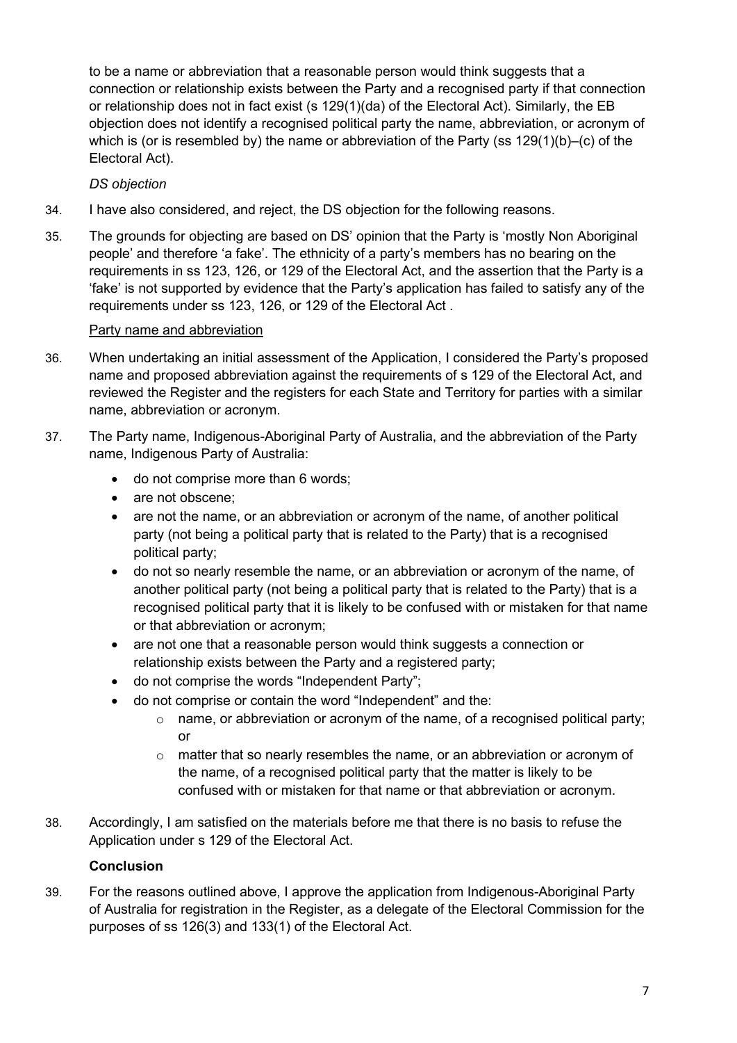to be a name or abbreviation that a reasonable person would think suggests that a connection or relationship exists between the Party and a recognised party if that connection or relationship does not in fact exist (s 129(1)(da) of the Electoral Act). Similarly, the EB objection does not identify a recognised political party the name, abbreviation, or acronym of which is (or is resembled by) the name or abbreviation of the Party (ss 129(1)(b)–(c) of the Electoral Act).

# *DS objection*

- 34. I have also considered, and reject, the DS objection for the following reasons.
- 35. The grounds for objecting are based on DS' opinion that the Party is 'mostly Non Aboriginal people' and therefore 'a fake'. The ethnicity of a party's members has no bearing on the requirements in ss 123, 126, or 129 of the Electoral Act, and the assertion that the Party is a 'fake' is not supported by evidence that the Party's application has failed to satisfy any of the requirements under ss 123, 126, or 129 of the Electoral Act .

## Party name and abbreviation

- 36. When undertaking an initial assessment of the Application, I considered the Party's proposed name and proposed abbreviation against the requirements of s 129 of the Electoral Act, and reviewed the Register and the registers for each State and Territory for parties with a similar name, abbreviation or acronym.
- 37. The Party name, Indigenous-Aboriginal Party of Australia, and the abbreviation of the Party name, Indigenous Party of Australia:
	- do not comprise more than 6 words;
	- are not obscene:
	- are not the name, or an abbreviation or acronym of the name, of another political party (not being a political party that is related to the Party) that is a recognised political party;
	- do not so nearly resemble the name, or an abbreviation or acronym of the name, of another political party (not being a political party that is related to the Party) that is a recognised political party that it is likely to be confused with or mistaken for that name or that abbreviation or acronym;
	- are not one that a reasonable person would think suggests a connection or relationship exists between the Party and a registered party;
	- do not comprise the words "Independent Party";
	- do not comprise or contain the word "Independent" and the:
		- $\circ$  name, or abbreviation or acronym of the name, of a recognised political party; or
		- $\circ$  matter that so nearly resembles the name, or an abbreviation or acronym of the name, of a recognised political party that the matter is likely to be confused with or mistaken for that name or that abbreviation or acronym.
- 38. Accordingly, I am satisfied on the materials before me that there is no basis to refuse the Application under s 129 of the Electoral Act.

## **Conclusion**

39. For the reasons outlined above, I approve the application from Indigenous-Aboriginal Party of Australia for registration in the Register, as a delegate of the Electoral Commission for the purposes of ss 126(3) and 133(1) of the Electoral Act.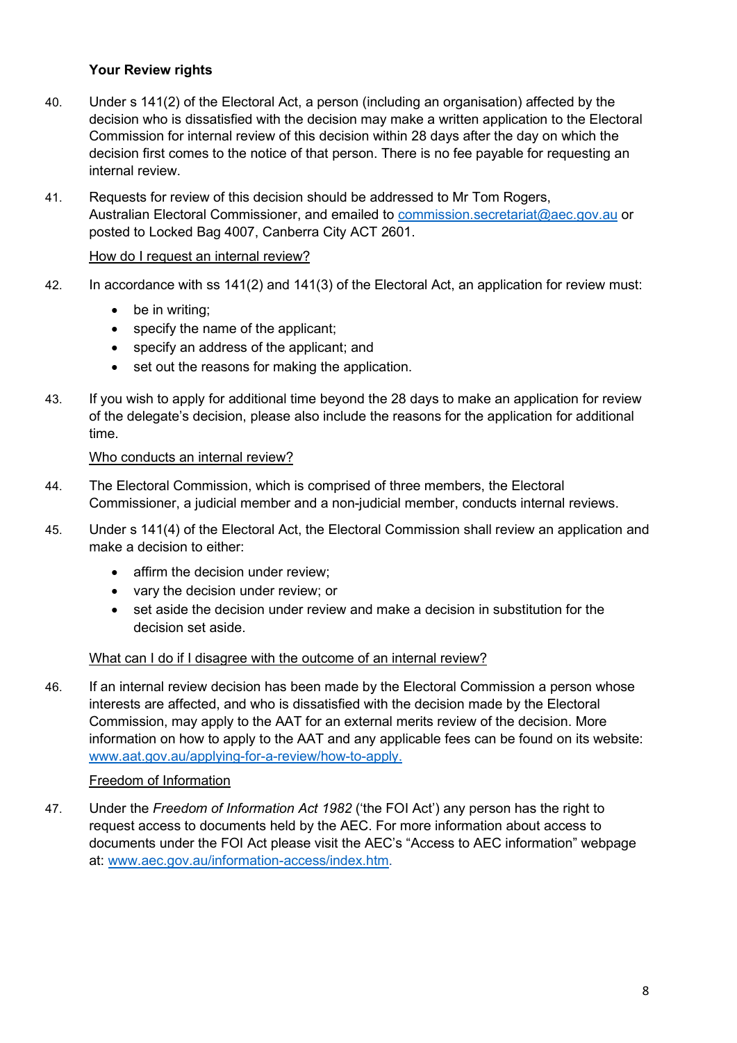# **Your Review rights**

- 40. Under s 141(2) of the Electoral Act, a person (including an organisation) affected by the decision who is dissatisfied with the decision may make a written application to the Electoral Commission for internal review of this decision within 28 days after the day on which the decision first comes to the notice of that person. There is no fee payable for requesting an internal review.
- 41. Requests for review of this decision should be addressed to Mr Tom Rogers, Australian Electoral Commissioner, and emailed to [commission.secretariat@aec.gov.au](mailto:commission.secretariat@aec.gov.au) or posted to Locked Bag 4007, Canberra City ACT 2601.

#### How do I request an internal review?

- 42. In accordance with ss 141(2) and 141(3) of the Electoral Act, an application for review must:
	- be in writing;
	- specify the name of the applicant;
	- specify an address of the applicant; and
	- set out the reasons for making the application.
- 43. If you wish to apply for additional time beyond the 28 days to make an application for review of the delegate's decision, please also include the reasons for the application for additional time.

#### Who conducts an internal review?

- 44. The Electoral Commission, which is comprised of three members, the Electoral Commissioner, a judicial member and a non-judicial member, conducts internal reviews.
- 45. Under s 141(4) of the Electoral Act, the Electoral Commission shall review an application and make a decision to either:
	- affirm the decision under review;
	- vary the decision under review; or
	- set aside the decision under review and make a decision in substitution for the decision set aside.

#### What can I do if I disagree with the outcome of an internal review?

46. If an internal review decision has been made by the Electoral Commission a person whose interests are affected, and who is dissatisfied with the decision made by the Electoral Commission, may apply to the AAT for an external merits review of the decision. More information on how to apply to the AAT and any applicable fees can be found on its website: [www.aat.gov.au/applying-for-a-review/how-to-apply.](http://www.aat.gov.au/applying-for-a-review/how-to-apply)

#### Freedom of Information

47. Under the *Freedom of Information Act 1982* ('the FOI Act') any person has the right to request access to documents held by the AEC. For more information about access to documents under the FOI Act please visit the AEC's "Access to AEC information" webpage at: [www.aec.gov.au/information-access/index.htm.](http://www.aec.gov.au/information-access/index.htm)